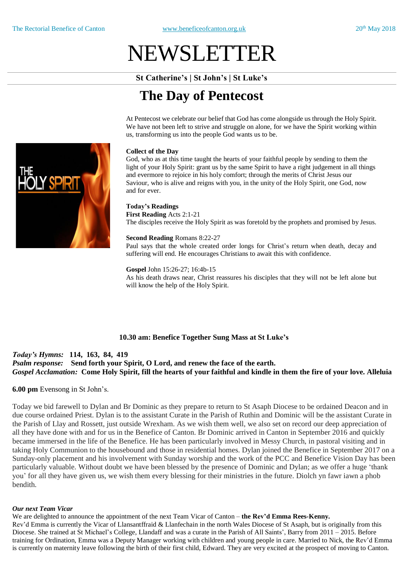# NEWSLETTER

**St Catherine's | St John's | St Luke's**

# **The Day of Pentecost**

At Pentecost we celebrate our belief that God has come alongside us through the HolySpirit. We have not been left to strive and struggle on alone, for we have the Spirit working within us, transforming us into the people God wants us to be.

#### **Collect of the Day**

God, who as at this time taught the hearts of your faithful people by sending to them the light of your Holy Spirit: grant us by the same Spirit to have a right judgement in all things and evermore to rejoice in his holy comfort; through the merits of Christ Jesus our Saviour, who is alive and reigns with you, in the unity of the Holy Spirit, one God, now and for ever.

## **Today's Readings**

**First Reading** Acts 2:1-21 The disciples receive the HolySpirit as was foretold by the prophets and promised by Jesus.

#### **Second Reading** Romans 8:22-27

Paul says that the whole created order longs for Christ's return when death, decay and suffering will end. He encourages Christians to await this with confidence.

#### **Gospel** John 15:26-27; 16:4b-15

As his death draws near, Christ reassures his disciples that they will not be left alone but will know the help of the Holy Spirit.

## **10.30 am: Benefice Together Sung Mass at St Luke's**

## *Today's Hymns:* **114, 163, 84, 419** *Psalm response:* **Send forth your Spirit, O Lord, and renew the face of the earth.** Gospel Acclamation: Come Holy Spirit, fill the hearts of your faithful and kindle in them the fire of your love. Alleluia

**6.00 pm** Evensong in St John's.

Today we bid farewell to Dylan and Br Dominic as they prepare to return to St Asaph Diocese to be ordained Deacon and in due course ordained Priest. Dylan is to the assistant Curate in the Parish of Ruthin and Dominic will be the assistant Curate in the Parish of Llay and Rossett, just outside Wrexham. As we wish them well, we also set on record our deep appreciation of all they have done with and for us in the Benefice of Canton. Br Dominic arrived in Canton in September 2016 and quickly became immersed in the life of the Benefice. He has been particularly involved in Messy Church, in pastoral visiting and in taking Holy Communion to the housebound and those in residential homes. Dylan joined the Benefice in September 2017 on a Sunday-only placement and his involvement with Sunday worship and the work of the PCC and Benefice Vision Day has been particularly valuable. Without doubt we have been blessed by the presence of Dominic and Dylan; as we offer a huge 'thank you' for all they have given us, we wish them every blessing for their ministries in the future. Diolch yn fawr iawn a phob bendith.

#### *Our next Team Vicar*

We are delighted to announce the appointment of the next Team Vicar of Canton – **the Rev'd Emma Rees-Kenny.** Rev'd Emma is currently the Vicar of Llansantffraid & Llanfechain in the north Wales Diocese of St Asaph, but is originally from this Diocese. She trained at St Michael's College, Llandaff and was a curate in the Parish of All Saints', Barry from 2011 – 2015. Before training for Ordination, Emma was a Deputy Manager working with children and young people in care. Married to Nick, the Rev'd Emma is currently on maternity leave following the birth of their first child, Edward. They are very excited at the prospect of moving to Canton.